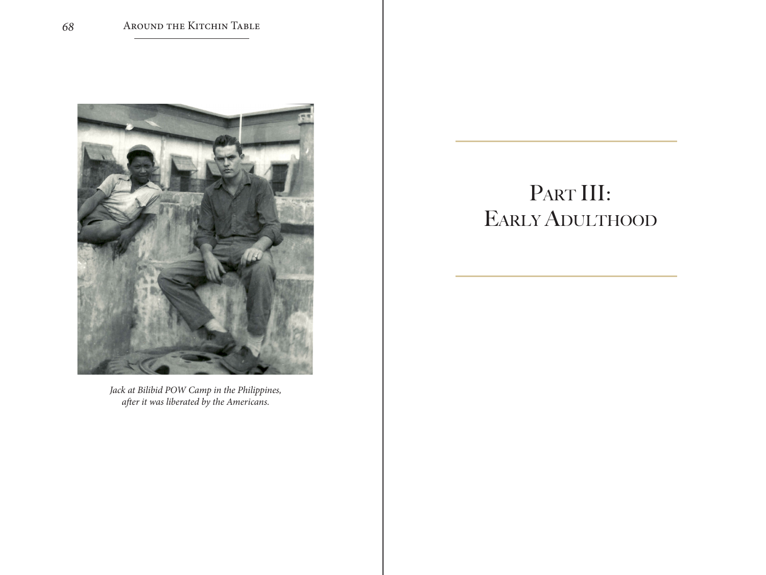

*Jack at Bilibid POW Camp in the Philippines, after it was liberated by the Americans.*

## PART III: Early Adulthood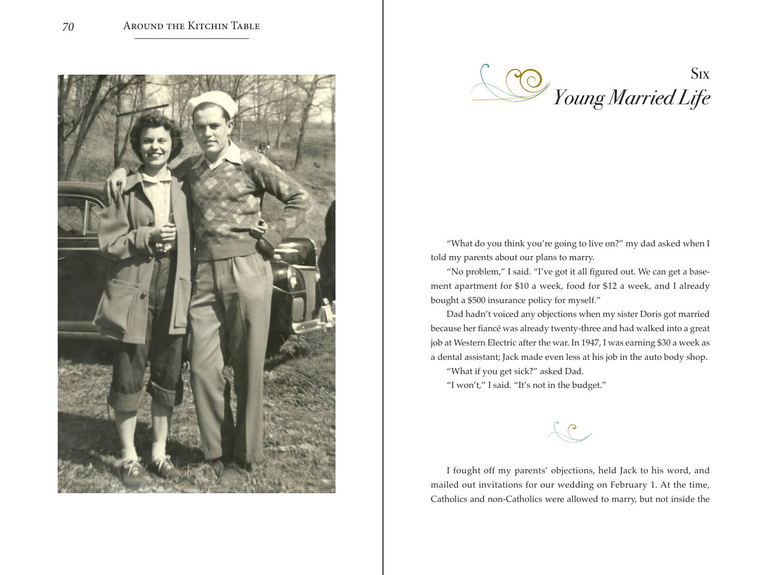



"What do you think you're going to live on?" my dad asked when I told my parents about our plans to marry.

"No problem," I said. "I've got it all figured out. We can get a basement apartment for \$10 a week, food for \$12 a week, and I already bought a \$500 insurance policy for myself."

Dad hadn't voiced any objections when my sister Doris got married because her fiancé was already twenty-three and had walked into a great job at Western Electric after the war. In 1947, I was earning \$30 a week as a dental assistant; Jack made even less at his job in the auto body shop.

"What if you get sick?" asked Dad.

"I won't," I said. "It's not in the budget."

 $\mathcal{C}$ 

I fought off my parents' objections, held Jack to his word, and mailed out invitations for our wedding on February 1. At the time, Catholics and non-Catholics were allowed to marry, but not inside the